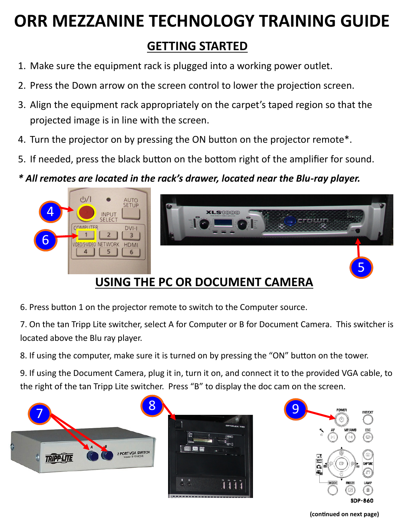# **ORR MEZZANINE TECHNOLOGY TRAINING GUIDE GETTING STARTED**

- 1. Make sure the equipment rack is plugged into a working power outlet.
- 2. Press the Down arrow on the screen control to lower the projection screen.
- 3. Align the equipment rack appropriately on the carpet's taped region so that the projected image is in line with the screen.
- 4. Turn the projector on by pressing the ON button on the projector remote\*.
- 5. If needed, press the black button on the bottom right of the amplifier for sound.
- *\* All remotes are located in the rack's drawer, located near the Blu-ray player.*



# **USING THE PC OR DOCUMENT CAMERA**

- 6. Press button 1 on the projector remote to switch to the Computer source.
- 7. On the tan Tripp Lite switcher, select A for Computer or B for Document Camera. This switcher is located above the Blu ray player.
- 8. If using the computer, make sure it is turned on by pressing the "ON" button on the tower.
- 9. If using the Document Camera, plug it in, turn it on, and connect it to the provided VGA cable, to the right of the tan Tripp Lite switcher. Press "B" to display the doc cam on the screen.







**(continued on next page)**